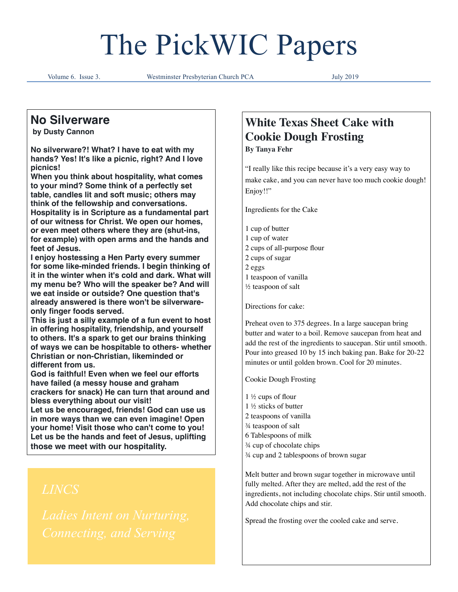# The PickWIC Papers

Volume 6. Issue 3. Westminster Presbyterian Church PCA July 2019

# **No Silverware**

 **by Dusty Cannon**

**No silverware?! What? I have to eat with my hands? Yes! It's like a picnic, right? And I love picnics!**

**When you think about hospitality, what comes to your mind? Some think of a perfectly set table, candles lit and soft music; others may think of the fellowship and conversations. Hospitality is in Scripture as a fundamental part of our witness for Christ. We open our homes, or even meet others where they are (shut-ins, for example) with open arms and the hands and feet of Jesus.**

**I enjoy hostessing a Hen Party every summer for some like-minded friends. I begin thinking of it in the winter when it's cold and dark. What will my menu be? Who will the speaker be? And will we eat inside or outside? One question that's already answered is there won't be silverwareonly finger foods served.**

**This is just a silly example of a fun event to host in offering hospitality, friendship, and yourself to others. It's a spark to get our brains thinking of ways we can be hospitable to others- whether Christian or non-Christian, likeminded or different from us.**

**God is faithful! Even when we feel our efforts have failed (a messy house and graham crackers for snack) He can turn that around and bless everything about our visit!**

**Let us be encouraged, friends! God can use us in more ways than we can even imagine! Open your home! Visit those who can't come to you! Let us be the hands and feet of Jesus, uplifting those we meet with our hospitality.**

# **White Texas Sheet Cake with Cookie Dough Frosting**

**By Tanya Fehr**

"I really like this recipe because it's a very easy way to make cake, and you can never have too much cookie dough! Enjoy!!"

Ingredients for the Cake

1 cup of butter

- 1 cup of water
- 2 cups of all-purpose flour
- 2 cups of sugar
- 2 eggs
- 1 teaspoon of vanilla
- ½ teaspoon of salt

Directions for cake:

Preheat oven to 375 degrees. In a large saucepan bring butter and water to a boil. Remove saucepan from heat and add the rest of the ingredients to saucepan. Stir until smooth. Pour into greased 10 by 15 inch baking pan. Bake for 20-22 minutes or until golden brown. Cool for 20 minutes.

Cookie Dough Frosting

- 1 ½ cups of flour
- 1 ½ sticks of butter
- 2 teaspoons of vanilla
- ¾ teaspoon of salt
- 6 Tablespoons of milk
- ¾ cup of chocolate chips
- ¾ cup and 2 tablespoons of brown sugar

Melt butter and brown sugar together in microwave until fully melted. After they are melted, add the rest of the ingredients, not including chocolate chips. Stir until smooth. Add chocolate chips and stir.

Spread the frosting over the cooled cake and serve.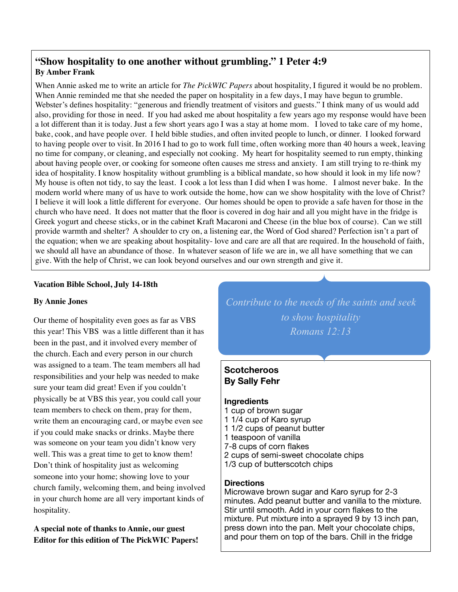# **"Show hospitality to one another without grumbling." 1 Peter 4:9 By Amber Frank**

When Annie asked me to write an article for *The PickWIC Papers* about hospitality, I figured it would be no problem. When Annie reminded me that she needed the paper on hospitality in a few days, I may have begun to grumble. Webster's defines hospitality: "generous and friendly treatment of visitors and guests." I think many of us would add also, providing for those in need. If you had asked me about hospitality a few years ago my response would have been a lot different than it is today. Just a few short years ago I was a stay at home mom. I loved to take care of my home, bake, cook, and have people over. I held bible studies, and often invited people to lunch, or dinner. I looked forward to having people over to visit. In 2016 I had to go to work full time, often working more than 40 hours a week, leaving no time for company, or cleaning, and especially not cooking. My heart for hospitality seemed to run empty, thinking about having people over, or cooking for someone often causes me stress and anxiety. I am still trying to re-think my idea of hospitality. I know hospitality without grumbling is a biblical mandate, so how should it look in my life now? My house is often not tidy, to say the least. I cook a lot less than I did when I was home. I almost never bake. In the modern world where many of us have to work outside the home, how can we show hospitality with the love of Christ? I believe it will look a little different for everyone. Our homes should be open to provide a safe haven for those in the church who have need. It does not matter that the floor is covered in dog hair and all you might have in the fridge is Greek yogurt and cheese sticks, or in the cabinet Kraft Macaroni and Cheese (in the blue box of course). Can we still provide warmth and shelter? A shoulder to cry on, a listening ear, the Word of God shared? Perfection isn't a part of the equation; when we are speaking about hospitality- love and care are all that are required. In the household of faith, we should all have an abundance of those. In whatever season of life we are in, we all have something that we can give. With the help of Christ, we can look beyond ourselves and our own strength and give it.

### **Vacation Bible School, July 14-18th**

#### **By Annie Jones**

Our theme of hospitality even goes as far as VBS this year! This VBS was a little different than it has been in the past, and it involved every member of the church. Each and every person in our church was assigned to a team. The team members all had responsibilities and your help was needed to make sure your team did great! Even if you couldn't physically be at VBS this year, you could call your team members to check on them, pray for them, write them an encouraging card, or maybe even see if you could make snacks or drinks. Maybe there was someone on your team you didn't know very well. This was a great time to get to know them! Don't think of hospitality just as welcoming someone into your home; showing love to your church family, welcoming them, and being involved in your church home are all very important kinds of hospitality.

**A special note of thanks to Annie, our guest Editor for this edition of The PickWIC Papers!**  *Contribute to the needs of the saints and seek to show hospitality Romans 12:13*

# **Scotcheroos By Sally Fehr**

#### **Ingredients**

- 1 cup of brown sugar
- 1 1/4 cup of Karo syrup
- 1 1/2 cups of peanut butter
- 1 teaspoon of vanilla
- 7-8 cups of corn flakes
- 2 cups of semi-sweet chocolate chips
- 1/3 cup of butterscotch chips

#### **Directions**

Microwave brown sugar and Karo syrup for 2-3 minutes. Add peanut butter and vanilla to the mixture. Stir until smooth. Add in your corn flakes to the mixture. Put mixture into a sprayed 9 by 13 inch pan, press down into the pan. Melt your chocolate chips, and pour them on top of the bars. Chill in the fridge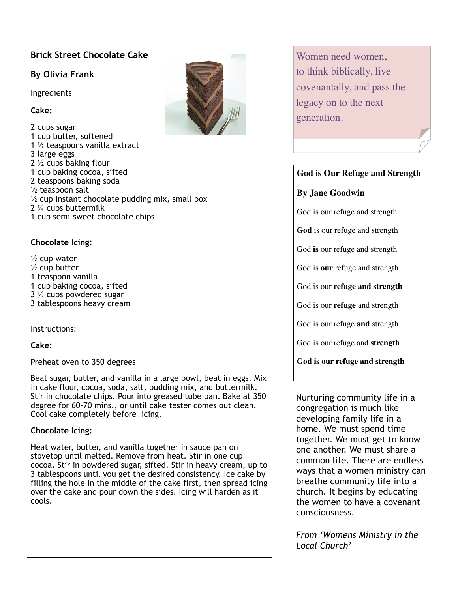# **Brick Street Chocolate Cake**

# **By Olivia Frank**

Ingredients

**Cake:** 

2 cups sugar 1 cup butter, softened 1 ½ teaspoons vanilla extract 3 large eggs 2 ½ cups baking flour 1 cup baking cocoa, sifted 2 teaspoons baking soda  $\frac{1}{2}$  teaspoon salt  $\frac{1}{2}$  cup instant chocolate pudding mix, small box 2 ¼ cups buttermilk 1 cup semi-sweet chocolate chips

# **Chocolate Icing:**

- $\frac{1}{2}$  cup water
- $\frac{1}{2}$  cup butter
- 1 teaspoon vanilla
- 1 cup baking cocoa, sifted
- 3 ½ cups powdered sugar
- 3 tablespoons heavy cream

Instructions:

**Cake:** 

Preheat oven to 350 degrees

Beat sugar, butter, and vanilla in a large bowl, beat in eggs. Mix in cake flour, cocoa, soda, salt, pudding mix, and buttermilk. Stir in chocolate chips. Pour into greased tube pan. Bake at 350 degree for 60-70 mins., or until cake tester comes out clean. Cool cake completely before icing.

# **Chocolate Icing:**

Heat water, butter, and vanilla together in sauce pan on stovetop until melted. Remove from heat. Stir in one cup cocoa. Stir in powdered sugar, sifted. Stir in heavy cream, up to 3 tablespoons until you get the desired consistency. Ice cake by filling the hole in the middle of the cake first, then spread icing over the cake and pour down the sides. Icing will harden as it cools.

Women need women, to think biblically, live covenantally, and pass the legacy on to the next generation.

# **God is Our Refuge and Strength**

# **By Jane Goodwin**

God is our refuge and strength

**God** is our refuge and strength

God **is** our refuge and strength

God is **our** refuge and strength

God is our **refuge and strength**

God is our **refuge** and strength

God is our refuge **and** strength

God is our refuge and **strength** 

**God is our refuge and strength** 

Nurturing community life in a congregation is much like developing family life in a home. We must spend time together. We must get to know one another. We must share a common life. There are endless ways that a women ministry can breathe community life into a church. It begins by educating the women to have a covenant consciousness.

*From 'Womens Ministry in the Local Church'*